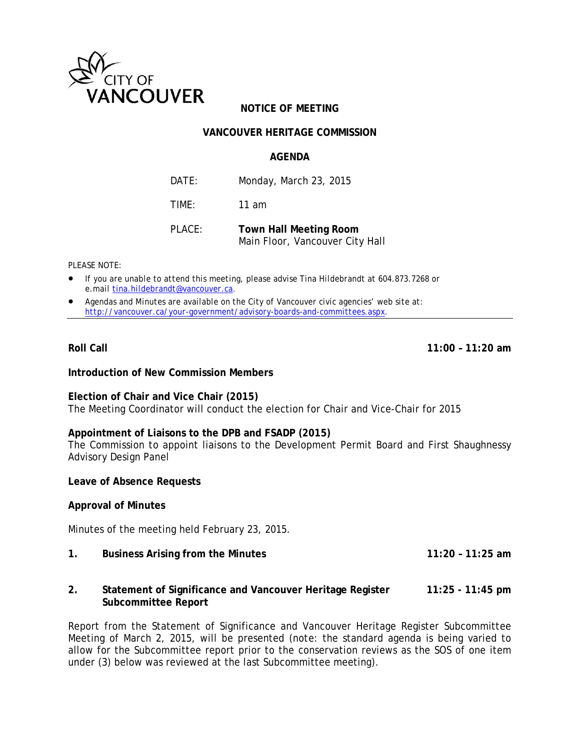

# **NOTICE OF MEETING**

# **VANCOUVER HERITAGE COMMISSION**

#### **AGENDA**

DATE: Monday, March 23, 2015 TIME: 11 am

PLACE: **Town Hall Meeting Room**  Main Floor, Vancouver City Hall

*PLEASE NOTE:* 

- *If you are unable to attend this meeting, please advise Tina Hildebrandt at 604.873.7268 or e.mail tina.hildebrandt@vancouver.ca*.
- *Agendas and Minutes are available on the City of Vancouver civic agencies' web site at: http://vancouver.ca/your-government/advisory-boards-and-committees.aspx*.

**Roll Call 11:00 – 11:20 am** 

#### **Introduction of New Commission Members**

**Election of Chair and Vice Chair (2015)**  The Meeting Coordinator will conduct the election for Chair and Vice-Chair for 2015

# **Appointment of Liaisons to the DPB and FSADP (2015)**

The Commission to appoint liaisons to the Development Permit Board and First Shaughnessy Advisory Design Panel

**Leave of Absence Requests** 

#### **Approval of Minutes**

Minutes of the meeting held February 23, 2015.

- **1. Business Arising from the Minutes 11:20 11:25 am**
- **2. Statement of Significance and Vancouver Heritage Register 11:25 11:45 pm Subcommittee Report**

Report from the Statement of Significance and Vancouver Heritage Register Subcommittee Meeting of March 2, 2015, will be presented (note: the standard agenda is being varied to allow for the Subcommittee report prior to the conservation reviews as the SOS of one item under (3) below was reviewed at the last Subcommittee meeting).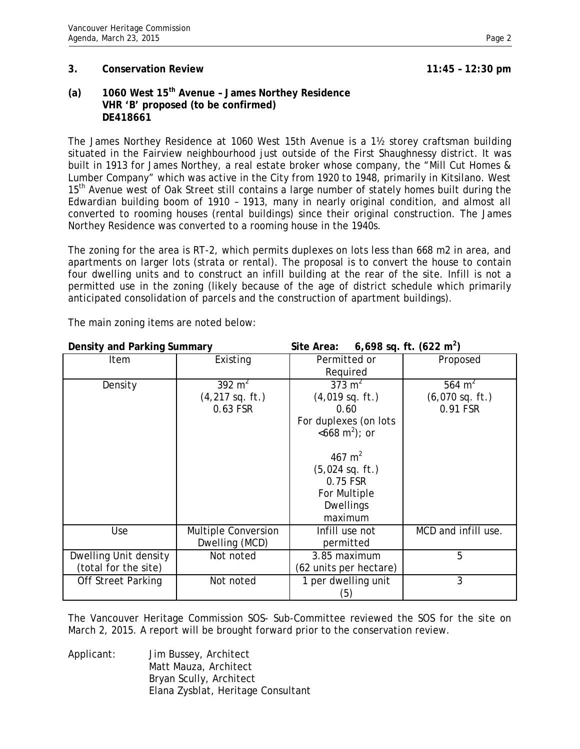#### **3. Conservation Review 11:45 – 12:30 pm**

**(a) 1060 West 15th Avenue – James Northey Residence VHR 'B' proposed (to be confirmed) DE418661** 

The James Northey Residence at 1060 West 15th Avenue is a 1½ storey craftsman building situated in the Fairview neighbourhood just outside of the First Shaughnessy district. It was built in 1913 for James Northey, a real estate broker whose company, the "Mill Cut Homes & Lumber Company" which was active in the City from 1920 to 1948, primarily in Kitsilano. West 15<sup>th</sup> Avenue west of Oak Street still contains a large number of stately homes built during the Edwardian building boom of 1910 – 1913, many in nearly original condition, and almost all converted to rooming houses (rental buildings) since their original construction. The James Northey Residence was converted to a rooming house in the 1940s.

The zoning for the area is RT-2, which permits duplexes on lots less than 668 m2 in area, and apartments on larger lots (strata or rental). The proposal is to convert the house to contain four dwelling units and to construct an infill building at the rear of the site. Infill is not a permitted use in the zoning (likely because of the age of district schedule which primarily anticipated consolidation of parcels and the construction of apartment buildings).

| Density and Parking Summary |                            | Site Area:              | 6,698 sq. ft. $(622 \text{ m}^2)$ |
|-----------------------------|----------------------------|-------------------------|-----------------------------------|
| Item                        | Existing                   | Permitted or            | Proposed                          |
|                             |                            | Required                |                                   |
| Density                     | 392 $m2$                   | 373 $m2$                | 564 $m^2$                         |
|                             | $(4,217$ sq. ft.)          | $(4,019$ sq. ft.)       | $(6,070$ sq. ft.)                 |
|                             | 0.63 FSR                   | 0.60                    | 0.91 FSR                          |
|                             |                            | For duplexes (on lots   |                                   |
|                             |                            | $<668 \text{ m}^2$ ; or |                                   |
|                             |                            |                         |                                   |
|                             |                            | 467 $m2$                |                                   |
|                             |                            | $(5,024$ sq. ft.)       |                                   |
|                             |                            | 0.75 FSR                |                                   |
|                             |                            | For Multiple            |                                   |
|                             |                            | <b>Dwellings</b>        |                                   |
|                             |                            | maximum                 |                                   |
| Use                         | <b>Multiple Conversion</b> | Infill use not          | MCD and infill use.               |
|                             | Dwelling (MCD)             | permitted               |                                   |
| Dwelling Unit density       | Not noted                  | 3.85 maximum            | 5                                 |
| (total for the site)        |                            | (62 units per hectare)  |                                   |
| <b>Off Street Parking</b>   | Not noted                  | 1 per dwelling unit     | 3                                 |
|                             |                            | (5)                     |                                   |

The main zoning items are noted below:

The Vancouver Heritage Commission SOS- Sub-Committee reviewed the SOS for the site on March 2, 2015. A report will be brought forward prior to the conservation review.

Applicant: Jim Bussey, Architect Matt Mauza, Architect Bryan Scully, Architect Elana Zysblat, Heritage Consultant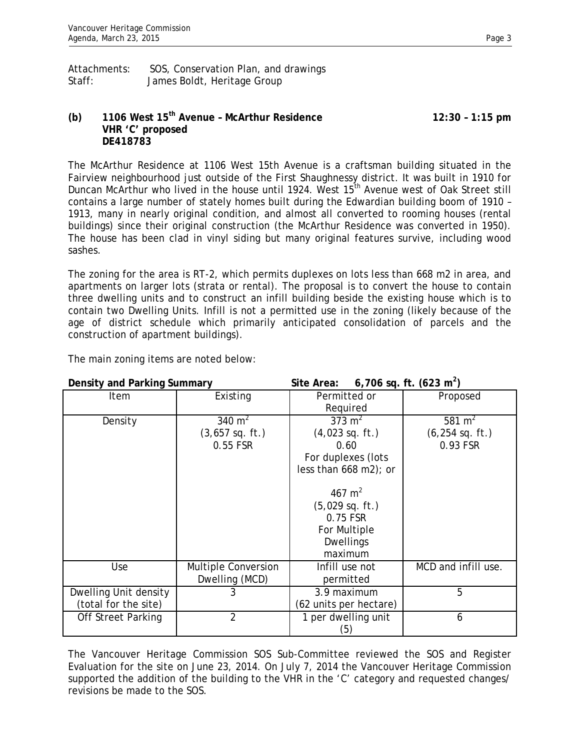# **(b) 1106 West 15th Avenue – McArthur Residence 12:30 – 1:15 pm VHR 'C' proposed DE418783**

The McArthur Residence at 1106 West 15th Avenue is a craftsman building situated in the Fairview neighbourhood just outside of the First Shaughnessy district. It was built in 1910 for Duncan McArthur who lived in the house until 1924. West 15<sup>th</sup> Avenue west of Oak Street still contains a large number of stately homes built during the Edwardian building boom of 1910 – 1913, many in nearly original condition, and almost all converted to rooming houses (rental buildings) since their original construction (the McArthur Residence was converted in 1950). The house has been clad in vinyl siding but many original features survive, including wood sashes.

The zoning for the area is RT-2, which permits duplexes on lots less than 668 m2 in area, and apartments on larger lots (strata or rental). The proposal is to convert the house to contain three dwelling units and to construct an infill building beside the existing house which is to contain two Dwelling Units. Infill is not a permitted use in the zoning (likely because of the age of district schedule which primarily anticipated consolidation of parcels and the construction of apartment buildings).

**Density and Parking Summary <b>Site Area:** 6,706 sq. ft.  $\frac{1}{2}$ 6,706 sq. ft.  $(623 \text{ m}^2)$ Item | Existing | Permitted or Required Proposed Density  $340 \text{ m}^2$ (3,657 sq. ft.) 0.55 FSR  $373 \text{ m}^2$ (4,023 sq. ft.) 0.60 For duplexes (lots less than 668 m2); or 467 $m<sup>2</sup>$ (5,029 sq. ft.) 0.75 FSR For Multiple Dwellings maximum 581 $m<sup>2</sup>$ (6,254 sq. ft.) 0.93 FSR Use **Multiple Conversion** Dwelling (MCD) Infill use not permitted MCD and infill use. Dwelling Unit density (total for the site) 3 3.9 maximum (62 units per hectare) 5 Off Street Parking 2 1 per dwelling unit (5) 6

The main zoning items are noted below:

The Vancouver Heritage Commission SOS Sub-Committee reviewed the SOS and Register Evaluation for the site on June 23, 2014. On July 7, 2014 the Vancouver Heritage Commission supported the addition of the building to the VHR in the 'C' category and requested changes/ revisions be made to the SOS.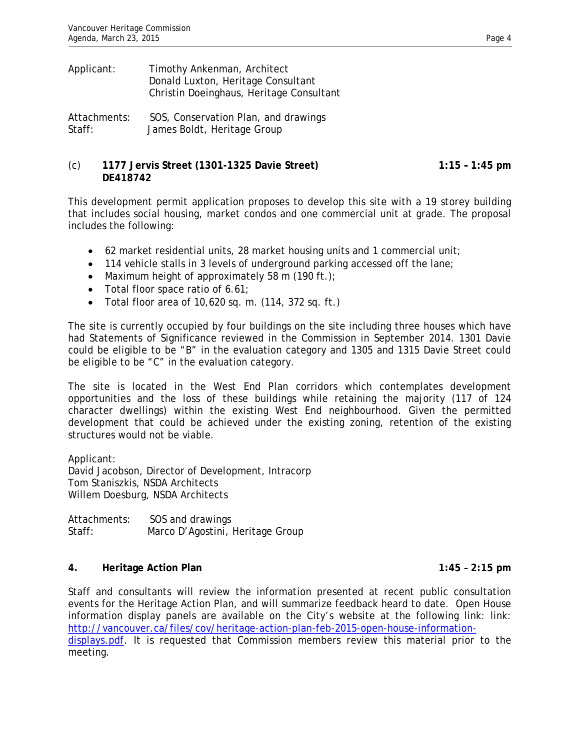| Applicant:   | Timothy Ankenman, Architect<br>Donald Luxton, Heritage Consultant<br>Christin Doeinghaus, Heritage Consultant |
|--------------|---------------------------------------------------------------------------------------------------------------|
| Attachments: | SOS, Conservation Plan, and drawings                                                                          |
| Staff:       | James Boldt, Heritage Group                                                                                   |

## (c) **1177 Jervis Street (1301-1325 Davie Street) 1:15 – 1:45 pm DE418742**

This development permit application proposes to develop this site with a 19 storey building that includes social housing, market condos and one commercial unit at grade. The proposal includes the following:

- 62 market residential units, 28 market housing units and 1 commercial unit;
- 114 vehicle stalls in 3 levels of underground parking accessed off the lane;
- Maximum height of approximately 58 m (190 ft.);
- Total floor space ratio of 6.61;
- Total floor area of 10,620 sq. m. (114, 372 sq. ft.)

The site is currently occupied by four buildings on the site including three houses which have had Statements of Significance reviewed in the Commission in September 2014. 1301 Davie could be eligible to be "B" in the evaluation category and 1305 and 1315 Davie Street could be eligible to be "C" in the evaluation category.

The site is located in the West End Plan corridors which contemplates development opportunities and the loss of these buildings while retaining the majority (117 of 124 character dwellings) within the existing West End neighbourhood. Given the permitted development that could be achieved under the existing zoning, retention of the existing structures would not be viable.

Applicant: David Jacobson, Director of Development, Intracorp Tom Staniszkis, NSDA Architects Willem Doesburg, NSDA Architects

Attachments: SOS and drawings Staff: Marco D'Agostini, Heritage Group

## **4. Heritage Action Plan 1:45 – 2:15 pm**

Staff and consultants will review the information presented at recent public consultation events for the Heritage Action Plan, and will summarize feedback heard to date. Open House information display panels are available on the City's website at the following link: link: http://vancouver.ca/files/cov/heritage-action-plan-feb-2015-open-house-informationdisplays.pdf. It is requested that Commission members review this material prior to the

meeting.